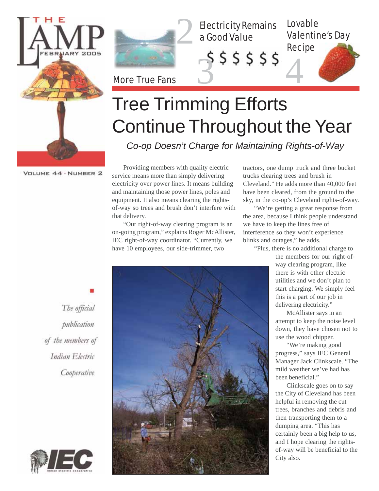



Electricity Remains a Good Value Electricity Remains Lovable<br>a Good Value Valentine's Day

5 5 5 5 5

More True Fans

# Tree Trimming Efforts Continue Throughout the Year *Co-op Doesn't Charge for Maintaining Rights-of-Way*

VOLUME 44 · NUMBER 2

Providing members with quality electric service means more than simply delivering electricity over power lines. It means building and maintaining those power lines, poles and equipment. It also means clearing the rightsof-way so trees and brush don't interfere with that delivery.

"Our right-of-way clearing program is an on-going program," explains Roger McAllister, IEC right-of-way coordinator. "Currently, we have 10 employees, our side-trimmer, two

tractors, one dump truck and three bucket trucks clearing trees and brush in Cleveland." He adds more than 40,000 feet have been cleared, from the ground to the sky, in the co-op's Cleveland rights-of-way.

Lovable

"We're getting a great response from the area, because I think people understand we have to keep the lines free of interference so they won't experience blinks and outages," he adds.

"Plus, there is no additional charge to

the members for our right-ofway clearing program, like there is with other electric utilities and we don't plan to start charging. We simply feel this is a part of our job in delivering electricity."

McAllister says in an attempt to keep the noise level down, they have chosen not to use the wood chipper.

"We're making good progress," says IEC General Manager Jack Clinkscale. "The mild weather we've had has been beneficial."

Clinkscale goes on to say the City of Cleveland has been helpful in removing the cut trees, branches and debris and then transporting them to a dumping area. "This has certainly been a big help to us, and I hope clearing the rightsof-way will be beneficial to the City also.

The official publication of the members of Indian Electric Cooperative



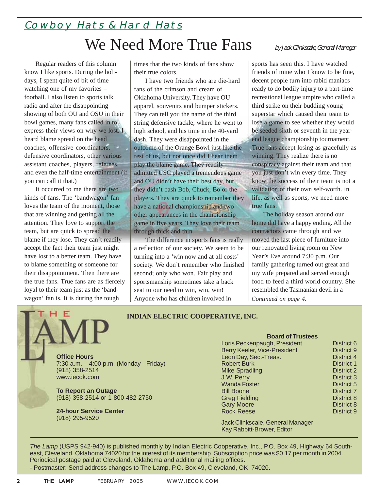## Cowboy Hats & Hard Hats We Need More True Fans

Regular readers of this column know I like sports. During the holidays, I spent quite of bit of time watching one of my favorites – football. I also listen to sports talk radio and after the disappointing showing of both OU and OSU in their bowl games, many fans called in to express their views on why we lost. I heard blame spread on the head coaches, offensive coordinators, defensive coordinators, other various assistant coaches, players, referees, and even the half-time entertainment (if you can call it that.)

It occurred to me there are two kinds of fans. The 'bandwagon' fan loves the team of the moment, those that are winning and getting all the attention. They love to support the team, but are quick to spread the blame if they lose. They can't readily accept the fact their team just might have lost to a better team. They have to blame something or someone for their disappointment. Then there are the true fans. True fans are as fiercely loyal to their team just as the 'bandwagon' fan is. It is during the tough

Е

times that the two kinds of fans show their true colors.

I have two friends who are die-hard fans of the crimson and cream of Oklahoma University. They have OU apparel, souvenirs and bumper stickers. They can tell you the name of the third string defensive tackle, where he went to high school, and his time in the 40-yard dash. They were disappointed in the outcome of the Orange Bowl just like the rest of us, but not once did I hear them play the blame game. They readily admitted USC played a tremendous game and OU didn't have their best day, but they didn't bash Bob, Chuck, Bo or the players. They are quick to remember they have a national championship and two other appearances in the championship game in five years. They love their team through thick and thin.

The difference in sports fans is really a reflection of our society. We seem to be turning into a 'win now and at all costs' society. We don't remember who finished second; only who won. Fair play and sportsmanship sometimes take a back seat to our need to win, win, win! Anyone who has children involved in

#### by Jack Clinkscale, General Manager

sports has seen this. I have watched friends of mine who I know to be fine, decent people turn into rabid maniacs ready to do bodily injury to a part-time recreational league umpire who called a third strike on their budding young superstar which caused their team to lose a game to see whether they would be seeded sixth or seventh in the yearend league championship tournament. True fans accept losing as gracefully as winning. They realize there is no conspiracy against their team and that you just don't win every time. They know the success of their team is not a validation of their own self-worth. In life, as well as sports, we need more true fans.

The holiday season around our home did have a happy ending. All the contractors came through and we moved the last piece of furniture into our renovated living room on New Year's Eve around 7:30 p.m. Our family gathering turned out great and my wife prepared and served enough food to feed a third world country. She resembled the Tasmanian devil in a

*Continued on page 4.*

#### **INDIAN ELECTRIC COOPERATIVE, INC.**

**Office Hours** 7:30 a.m. – 4:00 p.m. (Monday - Friday) (918) 358-2514 www.iecok.com

**To Report an Outage** (918) 358-2514 or 1-800-482-2750

**24-hour Service Center** (918) 295-9520

#### **Board of Trustees**

| Loris Peckenpaugh, President        | District 6        |
|-------------------------------------|-------------------|
| <b>Berry Keeler, Vice-President</b> | District 9        |
| Leon Day, Sec.-Treas.               | <b>District 4</b> |
| <b>Robert Burk</b>                  | <b>District 1</b> |
| <b>Mike Spradling</b>               | District 2        |
| J.W. Perry                          | <b>District 3</b> |
| <b>Wanda Foster</b>                 | <b>District 5</b> |
| <b>Bill Boone</b>                   | <b>District 7</b> |
| <b>Greg Fielding</b>                | District 8        |
| <b>Gary Moore</b>                   | <b>District 8</b> |
| <b>Rock Reese</b>                   | District 9        |

Jack Clinkscale, General Manager Kay Rabbitt-Brower, Editor

*The Lamp* (USPS 942-940) is published monthly by Indian Electric Cooperative, Inc., P.O. Box 49, Highway 64 Southeast, Cleveland, Oklahoma 74020 for the interest of its membership. Subscription price was \$0.17 per month in 2004. Periodical postage paid at Cleveland, Oklahoma and additional mailing offices.

- Postmaster: Send address changes to The Lamp, P.O. Box 49, Cleveland, OK 74020.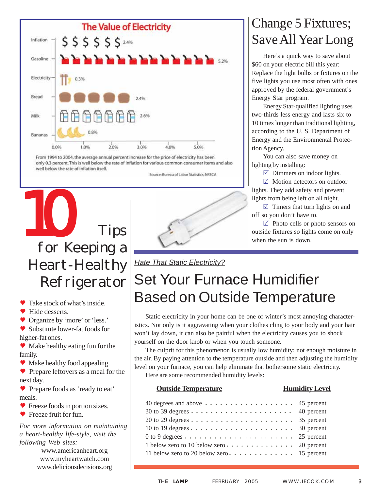

From 1994 to 2004, the average annual percent increase for the price of electricity has been only 0.3 percent. This is well below the rate of inflation for various common consumer items and also well below the rate of inflation itself.

# 10 Tips for Keeping a Heart-Healthy Refrigerator

**◆ Take stock of what's inside.** 

◆ Hide desserts.

◆ Organize by 'more' or 'less.'

 Substitute lower-fat foods for higher-fat ones.

• Make healthy eating fun for the family.

• Make healthy food appealing.

**Prepare leftovers as a meal for the** next day.

◆ Prepare foods as 'ready to eat' meals.

◆ Freeze foods in portion sizes.

◆ Freeze fruit for fun.

*For more information on maintaining a heart-healthy life-style, visit the following Web sites:*

> www.americanheart.org www.myheartwatch.com www.deliciousdecisions.org

*Hate That Static Electricity?*

Source: Bureau of Labor Statistics; NRECA

# Set Your Furnace Humidifier Based on Outside Temperature

Static electricity in your home can be one of winter's most annoying characteristics. Not only is it aggravating when your clothes cling to your body and your hair won't lay down, it can also be painful when the electricity causes you to shock yourself on the door knob or when you touch someone.

The culprit for this phenomenon is usually low humidity; not enough moisture in the air. By paying attention to the temperature outside and then adjusting the humidity level on your furnace, you can help eliminate that bothersome static electricity.

Here are some recommended humidity levels:

#### **Outside Temperature Humidity Level**

# 40 degrees and above  $\cdots$   $\cdots$   $\cdots$   $\cdots$   $\cdots$   $\cdots$  45 percent

| 30 to 39 degrees $\cdots \cdots \cdots \cdots \cdots \cdots \cdots \cdots$ 40 percent |  |
|---------------------------------------------------------------------------------------|--|
| 20 to 29 degrees $\dots \dots \dots \dots \dots \dots \dots \dots$ 35 percent         |  |
| 10 to 19 degrees $\dots \dots \dots \dots \dots \dots \dots \dots$ 30 percent         |  |
| $0$ to 9 degrees $\ldots \ldots \ldots \ldots \ldots \ldots \ldots$ 25 percent        |  |
| 1 below zero to 10 below zero $\dots \dots \dots \dots \dots$ 20 percent              |  |
| 11 below zero to 20 below zero $\dots \dots \dots \dots \dots \dots$ 15 percent       |  |
|                                                                                       |  |

### Change 5 Fixtures; Save All Year Long

Here's a quick way to save about \$60 on your electric bill this year: Replace the light bulbs or fixtures on the five lights you use most often with ones approved by the federal government's Energy Star program.

Energy Star-qualified lighting uses two-thirds less energy and lasts six to 10 times longer than traditional lighting, according to the U. S. Department of Energy and the Environmental Protection Agency.

You can also save money on lighting by installing:

 $\triangledown$  Dimmers on indoor lights.

 $\boxtimes$  Motion detectors on outdoor lights. They add safety and prevent lights from being left on all night.

 $\triangledown$  Timers that turn lights on and off so you don't have to.

 $\triangledown$  Photo cells or photo sensors on outside fixtures so lights come on only when the sun is down.